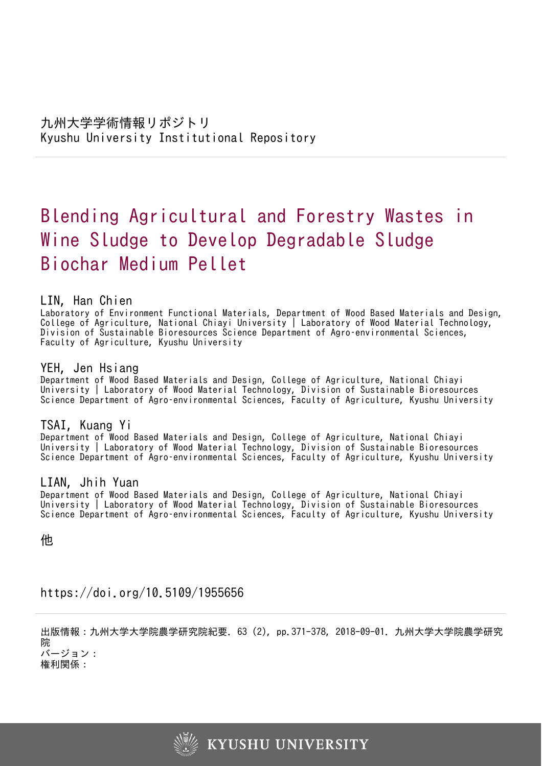# Blending Agricultural and Forestry Wastes in Wine Sludge to Develop Degradable Sludge Biochar Medium Pellet

# LIN, Han Chien

Laboratory of Environment Functional Materials, Department of Wood Based Materials and Design, College of Agriculture, National Chiayi University | Laboratory of Wood Material Technology, Division of Sustainable Bioresources Science Department of Agro–environmental Sciences, Faculty of Agriculture, Kyushu University

# YEH, Jen Hsiang

Department of Wood Based Materials and Design, College of Agriculture, National Chiayi University | Laboratory of Wood Material Technology, Division of Sustainable Bioresources Science Department of Agro–environmental Sciences, Faculty of Agriculture, Kyushu University

# TSAI, Kuang Yi

Department of Wood Based Materials and Design, College of Agriculture, National Chiayi University | Laboratory of Wood Material Technology, Division of Sustainable Bioresources Science Department of Agro–environmental Sciences, Faculty of Agriculture, Kyushu University

# LIAN, Jhih Yuan

Department of Wood Based Materials and Design, College of Agriculture, National Chiayi University | Laboratory of Wood Material Technology, Division of Sustainable Bioresources Science Department of Agro–environmental Sciences, Faculty of Agriculture, Kyushu University

他

https://doi.org/10.5109/1955656

出版情報:九州大学大学院農学研究院紀要. 63 (2), pp.371-378, 2018-09-01. 九州大学大学院農学研究 院 バージョン:

権利関係:

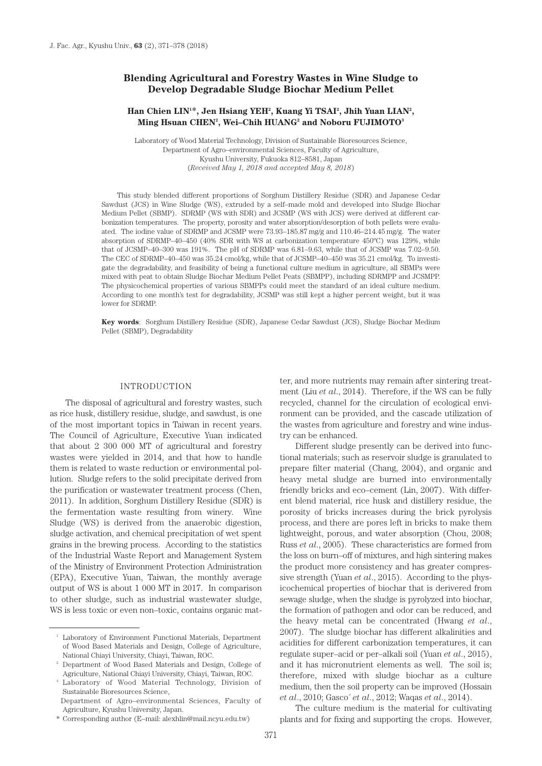## **Blending Agricultural and Forestry Wastes in Wine Sludge to Develop Degradable Sludge Biochar Medium Pellet**

## **Han Chien LIN1 \*, Jen Hsiang YEH2 , Kuang Yi TSAI2 , Jhih Yuan LIAN2 , Ming Hsuan CHEN2 , Wei–Chih HUANG2 and Noboru FUJIMOTO3**

Laboratory of Wood Material Technology, Division of Sustainable Bioresources Science, Department of Agro–environmental Sciences, Faculty of Agriculture, Kyushu University, Fukuoka 812–8581, Japan (*Received May 1, 2018 and accepted May 8, 2018*)

This study blended different proportions of Sorghum Distillery Residue (SDR) and Japanese Cedar Sawdust (JCS) in Wine Sludge (WS), extruded by a self–made mold and developed into Sludge Biochar Medium Pellet (SBMP). SDRMP (WS with SDR) and JCSMP (WS with JCS) were derived at different carbonization temperatures. The property, porosity and water absorption/desorption of both pellets were evaluated. The iodine value of SDRMP and JCSMP were 73.93–185.87 mg/g and 110.46–214.45 mg/g. The water absorption of SDRMP–40–450 (40% SDR with WS at carbonization temperature 450ºC) was 129%, while that of JCSMP–40–300 was 191%. The pH of SDRMP was 6.81–9.63, while that of JCSMP was 7.02–9.50. The CEC of SDRMP–40–450 was 35.24 cmol/kg, while that of JCSMP–40–450 was 35.21 cmol/kg. To investigate the degradability, and feasibility of being a functional culture medium in agriculture, all SBMPs were mixed with peat to obtain Sludge Biochar Medium Pellet Peats (SBMPP), including SDRMPP and JCSMPP. The physicochemical properties of various SBMPPs could meet the standard of an ideal culture medium. According to one month's test for degradability, JCSMP was still kept a higher percent weight, but it was lower for SDRMP.

**Key words**: Sorghum Distillery Residue (SDR), Japanese Cedar Sawdust (JCS), Sludge Biochar Medium Pellet (SBMP), Degradability

#### INTRODUCTION

The disposal of agricultural and forestry wastes, such as rice husk, distillery residue, sludge, and sawdust, is one of the most important topics in Taiwan in recent years. The Council of Agriculture, Executive Yuan indicated that about 2 300 000 MT of agricultural and forestry wastes were yielded in 2014, and that how to handle them is related to waste reduction or environmental pollution. Sludge refers to the solid precipitate derived from the purification or wastewater treatment process (Chen, 2011). In addition, Sorghum Distillery Residue (SDR) is the fermentation waste resulting from winery. Wine Sludge (WS) is derived from the anaerobic digestion, sludge activation, and chemical precipitation of wet spent grains in the brewing process. According to the statistics of the Industrial Waste Report and Management System of the Ministry of Environment Protection Administration (EPA), Executive Yuan, Taiwan, the monthly average output of WS is about 1 000 MT in 2017. In comparison to other sludge, such as industrial wastewater sludge, WS is less toxic or even non–toxic, contains organic mat-

\* Corresponding author (E–mail: alexhlin@mail.ncyu.edu.tw)

ter, and more nutrients may remain after sintering treatment (Liu *et al*., 2014). Therefore, if the WS can be fully recycled, channel for the circulation of ecological environment can be provided, and the cascade utilization of the wastes from agriculture and forestry and wine industry can be enhanced.

Different sludge presently can be derived into functional materials; such as reservoir sludge is granulated to prepare filter material (Chang, 2004), and organic and heavy metal sludge are burned into environmentally friendly bricks and eco–cement (Lin, 2007). With different blend material, rice husk and distillery residue, the porosity of bricks increases during the brick pyrolysis process, and there are pores left in bricks to make them lightweight, porous, and water absorption (Chou, 2008; Russ *et al*., 2005). These characteristics are formed from the loss on burn–off of mixtures, and high sintering makes the product more consistency and has greater compressive strength (Yuan *et al*., 2015). According to the physicochemical properties of biochar that is derivered from sewage sludge, when the sludge is pyrolyzed into biochar, the formation of pathogen and odor can be reduced, and the heavy metal can be concentrated (Hwang *et al*., 2007). The sludge biochar has different alkalinities and acidities for different carbonization temperatures, it can regulate super–acid or per–alkali soil (Yuan *et al*., 2015), and it has micronutrient elements as well. The soil is; therefore, mixed with sludge biochar as a culture medium, then the soil property can be improved (Hossain *et al*., 2010; Gasco´ *et al*., 2012; Waqas *et al*., 2014).

The culture medium is the material for cultivating plants and for fixing and supporting the crops. However,

<sup>&</sup>lt;sup>1</sup> Laboratory of Environment Functional Materials, Department of Wood Based Materials and Design, College of Agriculture, National Chiayi University, Chiayi, Taiwan, ROC.

<sup>2</sup> Department of Wood Based Materials and Design, College of Agriculture, National Chiayi University, Chiayi, Taiwan, ROC.

Laboratory of Wood Material Technology, Division of Sustainable Bioresources Science,

Department of Agro–environmental Sciences, Faculty of Agriculture, Kyushu University, Japan.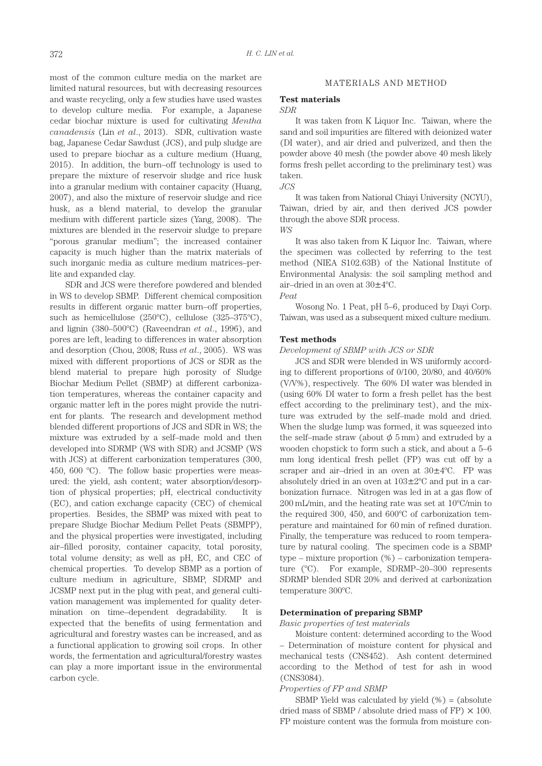most of the common culture media on the market are limited natural resources, but with decreasing resources and waste recycling, only a few studies have used wastes to develop culture media. For example, a Japanese cedar biochar mixture is used for cultivating *Mentha canadensis* (Lin *et al*., 2013). SDR, cultivation waste bag, Japanese Cedar Sawdust (JCS), and pulp sludge are used to prepare biochar as a culture medium (Huang, 2015). In addition, the burn–off technology is used to prepare the mixture of reservoir sludge and rice husk into a granular medium with container capacity (Huang, 2007), and also the mixture of reservoir sludge and rice husk, as a blend material, to develop the granular medium with different particle sizes (Yang, 2008). The mixtures are blended in the reservoir sludge to prepare "porous granular medium"; the increased container capacity is much higher than the matrix materials of such inorganic media as culture medium matrices–perlite and expanded clay.

SDR and JCS were therefore powdered and blended in WS to develop SBMP. Different chemical composition results in different organic matter burn–off properties, such as hemicellulose (250ºC), cellulose (325–375ºC), and lignin (380–500ºC) (Raveendran *et al*., 1996), and pores are left, leading to differences in water absorption and desorption (Chou, 2008; Russ *et al*., 2005). WS was mixed with different proportions of JCS or SDR as the blend material to prepare high porosity of Sludge Biochar Medium Pellet (SBMP) at different carbonization temperatures, whereas the container capacity and organic matter left in the pores might provide the nutrient for plants. The research and development method blended different proportions of JCS and SDR in WS; the mixture was extruded by a self–made mold and then developed into SDRMP (WS with SDR) and JCSMP (WS with JCS) at different carbonization temperatures (300, 450, 600 ºC). The follow basic properties were measured: the yield, ash content; water absorption/desorption of physical properties; pH, electrical conductivity (EC), and cation exchange capacity (CEC) of chemical properties. Besides, the SBMP was mixed with peat to prepare Sludge Biochar Medium Pellet Peats (SBMPP), and the physical properties were investigated, including air–filled porosity, container capacity, total porosity, total volume density; as well as pH, EC, and CEC of chemical properties. To develop SBMP as a portion of culture medium in agriculture, SBMP, SDRMP and JCSMP next put in the plug with peat, and general cultivation management was implemented for quality determination on time–dependent degradability. It is expected that the benefits of using fermentation and agricultural and forestry wastes can be increased, and as a functional application to growing soil crops. In other words, the fermentation and agricultural/forestry wastes can play a more important issue in the environmental carbon cycle.

#### MATERIALS AND METHOD

#### **Test materials**

#### *SDR*

It was taken from K Liquor Inc. Taiwan, where the sand and soil impurities are filtered with deionized water (DI water), and air dried and pulverized, and then the powder above 40 mesh (the powder above 40 mesh likely forms fresh pellet according to the preliminary test) was taken.

#### *JCS*

It was taken from National Chiayi University (NCYU), Taiwan, dried by air, and then derived JCS powder through the above SDR process. *WS*

It was also taken from K Liquor Inc. Taiwan, where the specimen was collected by referring to the test method (NIEA S102.63B) of the National Institute of Environmental Analysis: the soil sampling method and air–dried in an oven at 30±4ºC.



Wosong No. 1 Peat, pH 5–6, produced by Dayi Corp. Taiwan, was used as a subsequent mixed culture medium.

#### **Test methods**

*Development of SBMP with JCS or SDR*

JCS and SDR were blended in WS uniformly according to different proportions of 0/100, 20/80, and 40/60% (V/V%), respectively. The 60% DI water was blended in (using 60% DI water to form a fresh pellet has the best effect according to the preliminary test), and the mixture was extruded by the self–made mold and dried. When the sludge lump was formed, it was squeezed into the self–made straw (about  $\phi$  5 mm) and extruded by a wooden chopstick to form such a stick, and about a 5–6 mm long identical fresh pellet (FP) was cut off by a scraper and air–dried in an oven at 30±4ºC. FP was absolutely dried in an oven at  $103\pm2\degree$ C and put in a carbonization furnace. Nitrogen was led in at a gas flow of 200 mL/min, and the heating rate was set at 10ºC/min to the required 300, 450, and 600ºC of carbonization temperature and maintained for 60 min of refined duration. Finally, the temperature was reduced to room temperature by natural cooling. The specimen code is a SBMP type – mixture proportion (%) – carbonization temperature (ºC). For example, SDRMP–20–300 represents SDRMP blended SDR 20% and derived at carbonization temperature 300ºC.

## **Determination of preparing SBMP**

#### *Basic properties of test materials*

Moisture content: determined according to the Wood – Determination of moisture content for physical and mechanical tests (CNS452). Ash content determined according to the Method of test for ash in wood (CNS3084).

#### *Properties of FP and SBMP*

SBMP Yield was calculated by yield  $(\%) = (absolute$ dried mass of SBMP / absolute dried mass of FP)  $\times$  100. FP moisture content was the formula from moisture con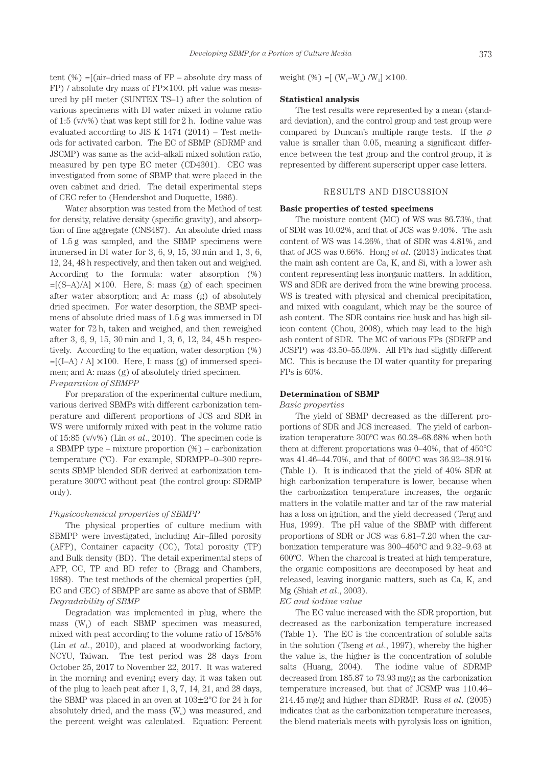tent  $(\%) =$ [(air–dried mass of FP – absolute dry mass of FP) / absolute dry mass of FP×100. pH value was measured by pH meter (SUNTEX TS–1) after the solution of various specimens with DI water mixed in volume ratio of 1:5 ( $v/v\%$ ) that was kept still for 2 h. Iodine value was evaluated according to JIS K 1474 (2014) – Test methods for activated carbon. The EC of SBMP (SDRMP and JSCMP) was same as the acid–alkali mixed solution ratio, measured by pen type EC meter (CD4301). CEC was investigated from some of SBMP that were placed in the oven cabinet and dried. The detail experimental steps of CEC refer to (Hendershot and Duquette, 1986).

Water absorption was tested from the Method of test for density, relative density (specific gravity), and absorption of fine aggregate (CNS487). An absolute dried mass of 1.5 g was sampled, and the SBMP specimens were immersed in DI water for 3, 6, 9, 15, 30 min and 1, 3, 6, 12, 24, 48 h respectively, and then taken out and weighed. According to the formula: water absorption (%)  $=[(S-A)/A] \times 100$ . Here, S: mass (g) of each specimen after water absorption; and A: mass (g) of absolutely dried specimen. For water desorption, the SBMP specimens of absolute dried mass of 1.5 g was immersed in DI water for 72 h, taken and weighed, and then reweighed after 3, 6, 9, 15, 30 min and 1, 3, 6, 12, 24, 48 h respectively. According to the equation, water desorption (%)  $=[(I-A) / A] \times 100$ . Here, I: mass (g) of immersed specimen; and A: mass (g) of absolutely dried specimen. *Preparation of SBMPP*

For preparation of the experimental culture medium, various derived SBMPs with different carbonization temperature and different proportions of JCS and SDR in WS were uniformly mixed with peat in the volume ratio of 15:85 (v/v%) (Lin *et al*., 2010). The specimen code is a SBMPP type – mixture proportion (%) – carbonization temperature (ºC). For example, SDRMPP–0–300 represents SBMP blended SDR derived at carbonization temperature 300ºC without peat (the control group: SDRMP only).

## *Physicochemical properties of SBMPP*

The physical properties of culture medium with SBMPP were investigated, including Air–filled porosity (AFP), Container capacity (CC), Total porosity (TP) and Bulk density (BD). The detail experimental steps of AFP, CC, TP and BD refer to (Bragg and Chambers, 1988). The test methods of the chemical properties (pH, EC and CEC) of SBMPP are same as above that of SBMP. *Degradability of SBMP*

Degradation was implemented in plug, where the mass  $(W_1)$  of each SBMP specimen was measured, mixed with peat according to the volume ratio of 15/85% (Lin *et al*., 2010), and placed at woodworking factory, NCYU, Taiwan. The test period was 28 days from October 25, 2017 to November 22, 2017. It was watered in the morning and evening every day, it was taken out of the plug to leach peat after 1, 3, 7, 14, 21, and 28 days, the SBMP was placed in an oven at  $103\pm2\degree$ C for 24 h for absolutely dried, and the mass  $(W_0)$  was measured, and the percent weight was calculated. Equation: Percent

weight  $(\%) = [(W_1-W_0)/W_1] \times 100$ .

#### **Statistical analysis**

The test results were represented by a mean (standard deviation), and the control group and test group were compared by Duncan's multiple range tests. If the  $\rho$ value is smaller than 0.05, meaning a significant difference between the test group and the control group, it is represented by different superscript upper case letters.

## RESULTS AND DISCUSSION

#### **Basic properties of tested specimens**

The moisture content (MC) of WS was 86.73%, that of SDR was 10.02%, and that of JCS was 9.40%. The ash content of WS was 14.26%, that of SDR was 4.81%, and that of JCS was 0.66%. Hong *et al*. (2013) indicates that the main ash content are Ca, K, and Si, with a lower ash content representing less inorganic matters. In addition, WS and SDR are derived from the wine brewing process. WS is treated with physical and chemical precipitation, and mixed with coagulant, which may be the source of ash content. The SDR contains rice husk and has high silicon content (Chou, 2008), which may lead to the high ash content of SDR. The MC of various FPs (SDRFP and JCSFP) was 43.50–55.09%. All FPs had slightly different MC. This is because the DI water quantity for preparing FPs is 60%.

#### **Determination of SBMP**

#### *Basic properties*

The yield of SBMP decreased as the different proportions of SDR and JCS increased. The yield of carbonization temperature 300ºC was 60.28–68.68% when both them at different proportations was 0–40%, that of 450ºC was 41.46–44.70%, and that of 600ºC was 36.92–38.91% (Table 1). It is indicated that the yield of 40% SDR at high carbonization temperature is lower, because when the carbonization temperature increases, the organic matters in the volatile matter and tar of the raw material has a loss on ignition, and the yield decreased (Teng and Hus, 1999). The pH value of the SBMP with different proportions of SDR or JCS was 6.81–7.20 when the carbonization temperature was 300–450ºC and 9.32–9.63 at 600ºC. When the charcoal is treated at high temperature, the organic compositions are decomposed by heat and released, leaving inorganic matters, such as Ca, K, and Mg (Shiah *et al*., 2003).

#### *EC and iodine value*

The EC value increased with the SDR proportion, but decreased as the carbonization temperature increased (Table 1). The EC is the concentration of soluble salts in the solution (Tseng *et al*., 1997), whereby the higher the value is, the higher is the concentration of soluble salts (Huang, 2004). The iodine value of SDRMP decreased from 185.87 to 73.93 mg/g as the carbonization temperature increased, but that of JCSMP was 110.46– 214.45 mg/g and higher than SDRMP. Russ *et al*. (2005) indicates that as the carbonization temperature increases, the blend materials meets with pyrolysis loss on ignition,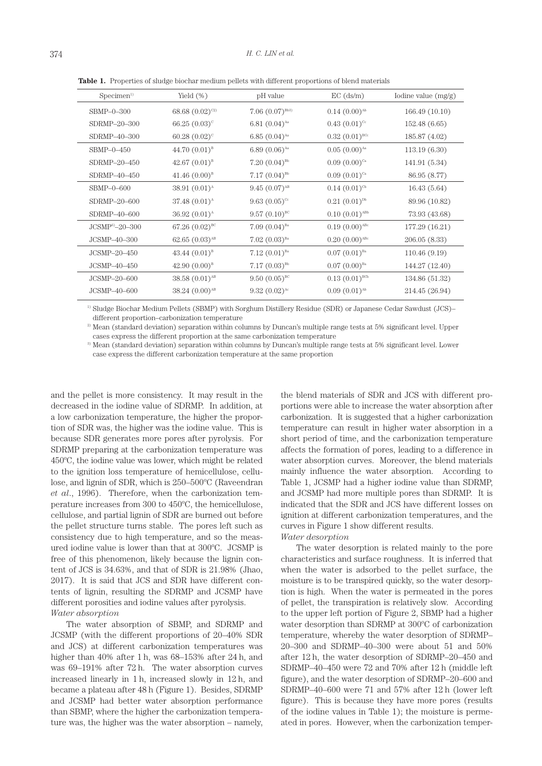| Specimen <sup>1</sup> | Yield $(\%)$              | pH value                    | $EC$ (ds/m)                 | Iodine value $(mg/g)$ |
|-----------------------|---------------------------|-----------------------------|-----------------------------|-----------------------|
| $SBMP-0-300$          | 68.68 $(0.02)^{c_2}$      | $7.06~(0.07)^{Bb3}$         | $0.14(0.00)^{Ab}$           | 166.49(10.10)         |
| SDRMP-20-300          | 66.25 $(0.03)^c$          | 6.81 $(0.04)$ <sup>Aa</sup> | $0.43(0.01)^{c_c}$          | 152.48 (6.65)         |
| SDRMP-40-300          | 60.28 $(0.02)^c$          | $6.85(0.04)$ <sup>Aa</sup>  | $0.32(0.01)^{BCc}$          | 185.87 (4.02)         |
| $SBMP-0-450$          | 44.70 $(0.01)^{B}$        | $6.89(0.06)$ <sup>Aa</sup>  | $0.05(0.00)$ <sup>Aa</sup>  | 113.19(6.30)          |
| SDRMP-20-450          | 42.67 $(0.01)^{B}$        | $7.20~(0.04)^{Bb}$          | $0.09(0.00)^{Ca}$           | 141.91 (5.34)         |
| SDRMP-40-450          | 41.46 $(0.00)^{B}$        | $7.17(0.04)^{Bb}$           | $0.09(0.01)^{c_a}$          | 86.95 (8.77)          |
| $SBMP-0-600$          | 38.91 $(0.01)^{\text{A}}$ | $9.45(0.07)^{AB}$           | $0.14(0.01)^{c}$            | 16.43(5.64)           |
| SDRMP-20-600          | $37.48(0.01)^{A}$         | $9.63(0.05)^{c}$            | $0.21(0.01)^{Db}$           | 89.96 (10.82)         |
| SDRMP-40-600          | $36.92(0.01)^{A}$         | $9.57(0.10)^{BC}$           | $0.10(0.01)$ <sup>ABb</sup> | 73.93 (43.68)         |
| $JCSMP^{6}-20-300$    | 67.26 $(0.02)^{BC}$       | $7.09~(0.04)^{Ba}$          | $0.19(0.00)$ <sup>ABc</sup> | 177.29 (16.21)        |
| JCSMP-40-300          | $62.65(0.03)^{AB}$        | $7.02~(0.03)^{Ba}$          | $0.20(0.00)^{ABC}$          | 206.05 (8.33)         |
| $JCSMP-20-450$        | 43.44 $(0.01)^{B}$        | $7.12 (0.01)^{Ba}$          | $0.07(0.01)^{Ba}$           | 110.46(9.19)          |
| $JCSMP-40-450$        | 42.90 $(0.00)^{B}$        | $7.17(0.03)^{Bb}$           | $0.07(0.00)^{Ba}$           | 144.27 (12.40)        |
| JCSMP-20-600          | $38.58(0.01)^{AB}$        | $9.50(0.05)^{BC}$           | $0.13(0.01)^{BCb}$          | 134.86 (51.32)        |
| $JCSMP-40-600$        | $38.24 (0.00)^{AB}$       | $9.32(0.02)^{Ac}$           | $0.09(0.01)^{Ab}$           | 214.45 (26.94)        |

**Table 1.** Properties of sludge biochar medium pellets with different proportions of blend materials

1) Sludge Biochar Medium Pellets (SBMP) with Sorghum Distillery Residue (SDR) or Japanese Cedar Sawdust (JCS)– different proportion–carbonization temperature

 $^{2)}$  Mean (standard deviation) separation within columns by Duncan's multiple range tests at 5% significant level. Upper cases express the different proportion at the same carbonization temperature

3) Mean (standard deviation) separation within columns by Duncan's multiple range tests at 5% significant level. Lower case express the different carbonization temperature at the same proportion

and the pellet is more consistency. It may result in the decreased in the iodine value of SDRMP. In addition, at a low carbonization temperature, the higher the proportion of SDR was, the higher was the iodine value. This is because SDR generates more pores after pyrolysis. For SDRMP preparing at the carbonization temperature was 450ºC, the iodine value was lower, which might be related to the ignition loss temperature of hemicellulose, cellulose, and lignin of SDR, which is 250–500ºC (Raveendran *et al*., 1996). Therefore, when the carbonization temperature increases from 300 to 450ºC, the hemicellulose, cellulose, and partial lignin of SDR are burned out before the pellet structure turns stable. The pores left such as consistency due to high temperature, and so the measured iodine value is lower than that at 300ºC. JCSMP is free of this phenomenon, likely because the lignin content of JCS is 34.63%, and that of SDR is 21.98% (Jhao, 2017). It is said that JCS and SDR have different contents of lignin, resulting the SDRMP and JCSMP have different porosities and iodine values after pyrolysis. *Water absorption*

The water absorption of SBMP, and SDRMP and JCSMP (with the different proportions of 20–40% SDR and JCS) at different carbonization temperatures was higher than 40% after 1 h, was 68–153% after 24 h, and was 69–191% after 72 h. The water absorption curves increased linearly in 1 h, increased slowly in 12 h, and became a plateau after 48 h (Figure 1). Besides, SDRMP and JCSMP had better water absorption performance than SBMP, where the higher the carbonization temperature was, the higher was the water absorption – namely,

the blend materials of SDR and JCS with different proportions were able to increase the water absorption after carbonization. It is suggested that a higher carbonization temperature can result in higher water absorption in a short period of time, and the carbonization temperature affects the formation of pores, leading to a difference in water absorption curves. Moreover, the blend materials mainly influence the water absorption. According to Table 1, JCSMP had a higher iodine value than SDRMP, and JCSMP had more multiple pores than SDRMP. It is indicated that the SDR and JCS have different losses on ignition at different carbonization temperatures, and the curves in Figure 1 show different results.

#### *Water desorption*

The water desorption is related mainly to the pore characteristics and surface roughness. It is inferred that when the water is adsorbed to the pellet surface, the moisture is to be transpired quickly, so the water desorption is high. When the water is permeated in the pores of pellet, the transpiration is relatively slow. According to the upper left portion of Figure 2, SBMP had a higher water desorption than SDRMP at 300ºC of carbonization temperature, whereby the water desorption of SDRMP– 20–300 and SDRMP–40–300 were about 51 and 50% after 12 h, the water desorption of SDRMP–20–450 and SDRMP–40–450 were 72 and 70% after 12 h (middle left figure), and the water desorption of SDRMP–20–600 and SDRMP–40–600 were 71 and 57% after 12 h (lower left figure). This is because they have more pores (results of the iodine values in Table 1); the moisture is permeated in pores. However, when the carbonization temper-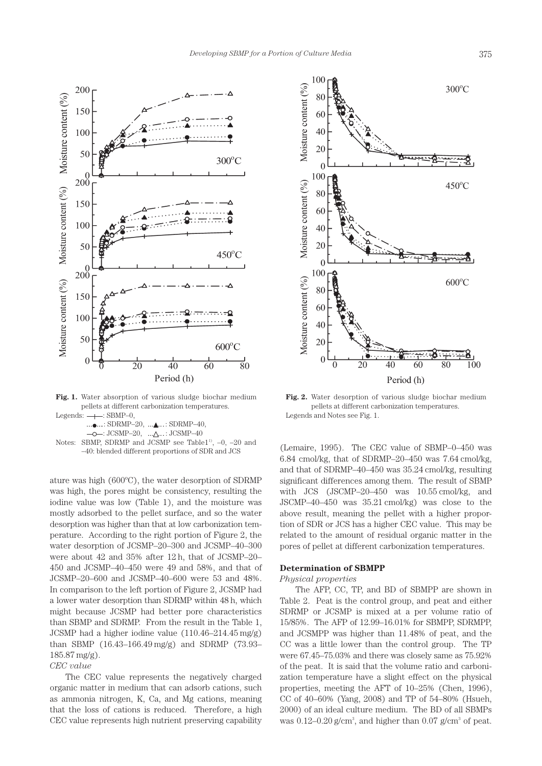

**Fig. 1.** Water absorption of various sludge biochar medium pellets at different carbonization temperatures. Legends:  $\longrightarrow$ : SBMP-0,

 $...$  $...$ : SDRMP–20,  $...$  $...$ : SDRMP–40,  $-\circ$ : JCSMP-20,  $\ldots \wedge \ldots$ : JCSMP-40 Notes: SBMP, SDRMP and JCSMP see Table1<sup>11</sup>,  $-0$ ,  $-20$  and –40: blended different proportions of SDR and JCS

ature was high (600ºC), the water desorption of SDRMP was high, the pores might be consistency, resulting the iodine value was low (Table 1), and the moisture was mostly adsorbed to the pellet surface, and so the water desorption was higher than that at low carbonization temperature. According to the right portion of Figure 2, the water desorption of JCSMP–20–300 and JCSMP–40–300 were about 42 and 35% after 12 h, that of JCSMP–20– 450 and JCSMP–40–450 were 49 and 58%, and that of JCSMP–20–600 and JCSMP–40–600 were 53 and 48%. In comparison to the left portion of Figure 2, JCSMP had a lower water desorption than SDRMP within 48 h, which might because JCSMP had better pore characteristics than SBMP and SDRMP. From the result in the Table 1, JCSMP had a higher iodine value (110.46–214.45 mg/g) than SBMP (16.43–166.49 mg/g) and SDRMP (73.93– 185.87 mg/g).

*CEC value*

The CEC value represents the negatively charged organic matter in medium that can adsorb cations, such as ammonia nitrogen, K, Ca, and Mg cations, meaning that the loss of cations is reduced. Therefore, a high CEC value represents high nutrient preserving capability



**Fig. 2.** Water desorption of various sludge biochar medium pellets at different carbonization temperatures. Legends and Notes see Fig. 1.

(Lemaire, 1995). The CEC value of SBMP–0–450 was 6.84 cmol/kg, that of SDRMP–20–450 was 7.64 cmol/kg, and that of SDRMP–40–450 was 35.24 cmol/kg, resulting significant differences among them. The result of SBMP with JCS (JSCMP–20–450 was 10.55 cmol/kg, and JSCMP–40–450 was 35.21 cmol/kg) was close to the above result, meaning the pellet with a higher proportion of SDR or JCS has a higher CEC value. This may be related to the amount of residual organic matter in the pores of pellet at different carbonization temperatures.

## **Determination of SBMPP**

#### *Physical properties*

The AFP, CC, TP, and BD of SBMPP are shown in Table 2. Peat is the control group, and peat and either SDRMP or JCSMP is mixed at a per volume ratio of 15/85%. The AFP of 12.99–16.01% for SBMPP, SDRMPP, and JCSMPP was higher than 11.48% of peat, and the CC was a little lower than the control group. The TP were 67.45–75.03% and there was closely same as 75.92% of the peat. It is said that the volume ratio and carbonization temperature have a slight effect on the physical properties, meeting the AFT of 10–25% (Chen, 1996), CC of 40–60% (Yang, 2008) and TP of 54–80% (Hsueh, 2000) of an ideal culture medium. The BD of all SBMPs was  $0.12-0.20$  g/cm<sup>3</sup>, and higher than  $0.07$  g/cm<sup>3</sup> of peat.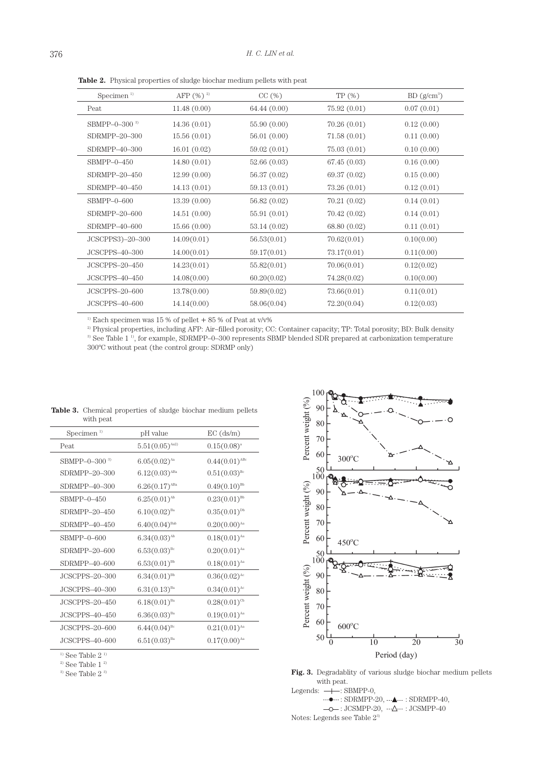| Specimen $1)$    | AFP $(\% )^2$ | CC(%)        | TP(%)        | $BD(g/cm^3)$ |
|------------------|---------------|--------------|--------------|--------------|
| Peat             | 11.48(0.00)   | 64.44 (0.00) | 75.92(0.01)  | 0.07(0.01)   |
| SBMPP-0-300 $3$  | 14.36(0.01)   | 55.90 (0.00) | 70.26(0.01)  | 0.12(0.00)   |
| SDRMPP-20-300    | 15.56(0.01)   | 56.01(0.00)  | 71.58(0.01)  | 0.11(0.00)   |
| SDRMPP-40-300    | 16.01(0.02)   | 59.02 (0.01) | 75.03(0.01)  | 0.10(0.00)   |
| $SBMPP-0-450$    | 14.80(0.01)   | 52.66 (0.03) | 67.45(0.03)  | 0.16(0.00)   |
| SDRMPP-20-450    | 12.99(0.00)   | 56.37 (0.02) | 69.37 (0.02) | 0.15(0.00)   |
| SDRMPP-40-450    | 14.13(0.01)   | 59.13 (0.01) | 73.26(0.01)  | 0.12(0.01)   |
| $SBMPP-0-600$    | 13.39(0.00)   | 56.82 (0.02) | 70.21(0.02)  | 0.14(0.01)   |
| SDRMPP-20-600    | 14.51(0.00)   | 55.91 (0.01) | 70.42(0.02)  | 0.14(0.01)   |
| SDRMPP-40-600    | 15.66(0.00)   | 53.14(0.02)  | 68.80 (0.02) | 0.11(0.01)   |
| JCSCPPS3)-20-300 | 14.09(0.01)   | 56.53(0.01)  | 70.62(0.01)  | 0.10(0.00)   |
| $JCSCPPS-40-300$ | 14.00(0.01)   | 59.17(0.01)  | 73.17(0.01)  | 0.11(0.00)   |
| JCSCPPS-20-450   | 14.23(0.01)   | 55.82(0.01)  | 70.06(0.01)  | 0.12(0.02)   |
| JCSCPPS-40-450   | 14.08(0.00)   | 60.20(0.02)  | 74.28(0.02)  | 0.10(0.00)   |
| JCSCPPS-20-600   | 13.78(0.00)   | 59.89(0.02)  | 73.66(0.01)  | 0.11(0.01)   |
| JCSCPPS-40-600   | 14.14(0.00)   | 58.06(0.04)  | 72.20(0.04)  | 0.12(0.03)   |

**Table 2.** Physical properties of sludge biochar medium pellets with peat

 $^{\scriptscriptstyle\rm I)}$  Each specimen was 15 % of pellet  $+$  85 % of Peat at v/v%

<sup>2)</sup> Physical properties, including AFP: Air–filled porosity; CC: Container capacity; TP: Total porosity; BD: Bulk density <sup>3)</sup> See Table 1<sup>1</sup><sup>)</sup>, for example, SDRMPP–0–300 represents SBMP blended SDR prepared at carbonization temperature 300ºC without peat (the control group: SDRMP only)

| with peat        |                             |                             |
|------------------|-----------------------------|-----------------------------|
| Specimen $1)$    | pH value                    | $EC$ (ds/m)                 |
| Peat             | $5.51(0.05)^{Aa2}$          | $0.15(0.08)^{a}$            |
| SBMPP-0-300 $3$  | $6.05(0.02)$ <sup>Aa</sup>  | $0.44(0.01)$ <sup>ABc</sup> |
| SDRMPP-20-300    | $6.12(0.03)$ <sup>ABa</sup> | $0.51(0.03)^{Bc}$           |
| SDRMPP-40-300    | $6.26(0.17)$ <sup>ABa</sup> | $0.49(0.10)^{Bb}$           |
| $SBMPP-0-450$    | $6.25(0.01)^{Ab}$           | $0.23(0.01)^{Bb}$           |
| SDRMPP-20-450    | $6.10(0.02)^{Ba}$           | $0.35(0.01)^{Db}$           |
| SDRMPP-40-450    | $6.40(0.04)$ <sup>Bab</sup> | $0.20(0.00)$ <sup>Aa</sup>  |
| $SBMPP-0-600$    | $6.34(0.03)^{Ab}$           | $0.18(0.01)$ <sup>Aa</sup>  |
| SDRMPP-20-600    | $6.53(0.03)^{Bc}$           | $0.20(0.01)$ <sup>Aa</sup>  |
| SDRMPP-40-600    | $6.53(0.01)^{Bb}$           | $0.18(0.01)^{Aa}$           |
| JCSCPPS-20-300   | $6.34(0.01)^{Bb}$           | $0.36(0.02)^{Ac}$           |
| JCSCPPS-40-300   | $6.31(0.13)^{Ba}$           | $0.34(0.01)^{Ac}$           |
| JCSCPPS-20-450   | $6.18(0.01)^{Ba}$           | $0.28(0.01)^{c_b}$          |
| JCSCPPS-40-450   | $6.36(0.03)^{Ba}$           | $0.19(0.01)$ <sup>Aa</sup>  |
| JCSCPPS-20-600   | $6.44(0.04)^{Bc}$           | $0.21(0.01)^{Aa}$           |
| $JCSCPPS-40-600$ | $6.51(0.03)^{Ba}$           | $0.17(0.00)$ <sup>Aa</sup>  |
|                  |                             |                             |

|           | <b>Table 3.</b> Chemical properties of sludge biochar medium pellets |  |  |  |
|-----------|----------------------------------------------------------------------|--|--|--|
| with peat |                                                                      |  |  |  |

 $^{\scriptscriptstyle\rm (1)}$  See Table 2  $^{\scriptscriptstyle\rm (1)}$ 

 $^{\mathrm{2)}}$  See Table 1  $^{\mathrm{2)}}$   $^{\mathrm{3)}}$  See Table 2  $^{\mathrm{3)}}$ 



Fig. 3. Degradablity of various sludge biochar medium pellets with peat.

Legends:  $\overrightarrow{+}$ : SBMPP-0,  $\cdots$  $\bullet$   $\cdots$ : SDRMPP-20,  $\cdots$  $\bullet$   $\cdots$ : SDRMPP-40,

 $\label{eq:2} -\text{O}-\text{: JCSMPP-20},\ \cdots \Delta \cdots \text{: JCSMPP-40}$ Notes: Legends see Table 2<sup>3)</sup>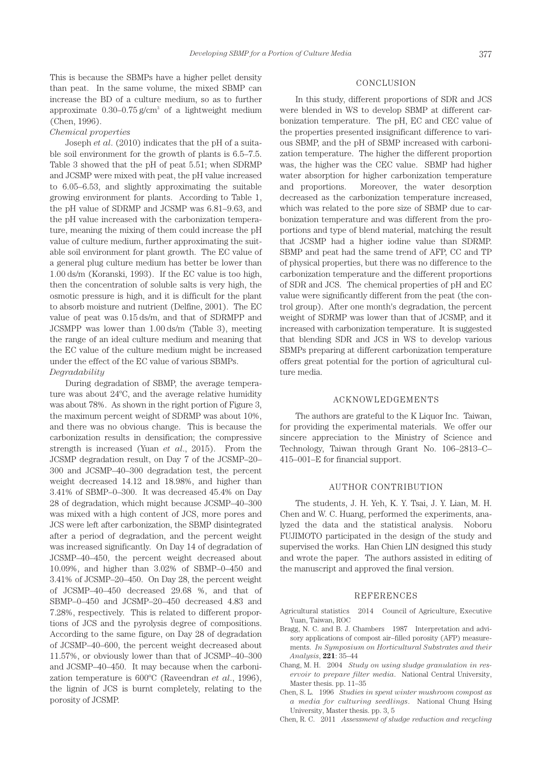This is because the SBMPs have a higher pellet density than peat. In the same volume, the mixed SBMP can increase the BD of a culture medium, so as to further approximate  $0.30-0.75$  g/cm<sup>3</sup> of a lightweight medium (Chen, 1996).

#### *Chemical properties*

Joseph *et al*. (2010) indicates that the pH of a suitable soil environment for the growth of plants is 6.5–7.5. Table 3 showed that the pH of peat 5.51; when SDRMP and JCSMP were mixed with peat, the pH value increased to 6.05–6.53, and slightly approximating the suitable growing environment for plants. According to Table 1, the pH value of SDRMP and JCSMP was 6.81–9.63, and the pH value increased with the carbonization temperature, meaning the mixing of them could increase the pH value of culture medium, further approximating the suitable soil environment for plant growth. The EC value of a general plug culture medium has better be lower than 1.00 ds/m (Koranski, 1993). If the EC value is too high, then the concentration of soluble salts is very high, the osmotic pressure is high, and it is difficult for the plant to absorb moisture and nutrient (Delfine, 2001). The EC value of peat was 0.15 ds/m, and that of SDRMPP and JCSMPP was lower than 1.00 ds/m (Table 3), meeting the range of an ideal culture medium and meaning that the EC value of the culture medium might be increased under the effect of the EC value of various SBMPs.

# *Degradability*

During degradation of SBMP, the average temperature was about 24ºC, and the average relative humidity was about 78%. As shown in the right portion of Figure 3, the maximum percent weight of SDRMP was about 10%, and there was no obvious change. This is because the carbonization results in densification; the compressive strength is increased (Yuan *et al*., 2015). From the JCSMP degradation result, on Day 7 of the JCSMP–20– 300 and JCSMP–40–300 degradation test, the percent weight decreased 14.12 and 18.98%, and higher than 3.41% of SBMP–0–300. It was decreased 45.4% on Day 28 of degradation, which might because JCSMP–40–300 was mixed with a high content of JCS, more pores and JCS were left after carbonization, the SBMP disintegrated after a period of degradation, and the percent weight was increased significantly. On Day 14 of degradation of JCSMP–40–450, the percent weight decreased about 10.09%, and higher than 3.02% of SBMP–0–450 and 3.41% of JCSMP–20–450. On Day 28, the percent weight of JCSMP–40–450 decreased 29.68 %, and that of SBMP–0–450 and JCSMP–20–450 decreased 4.83 and 7.28%, respectively. This is related to different proportions of JCS and the pyrolysis degree of compositions. According to the same figure, on Day 28 of degradation of JCSMP–40–600, the percent weight decreased about 11.57%, or obviously lower than that of JCSMP–40–300 and JCSMP–40–450. It may because when the carbonization temperature is 600ºC (Raveendran *et al*., 1996), the lignin of JCS is burnt completely, relating to the porosity of JCSMP.

#### CONCLUSION

In this study, different proportions of SDR and JCS were blended in WS to develop SBMP at different carbonization temperature. The pH, EC and CEC value of the properties presented insignificant difference to various SBMP, and the pH of SBMP increased with carbonization temperature. The higher the different proportion was, the higher was the CEC value. SBMP had higher water absorption for higher carbonization temperature and proportions. Moreover, the water desorption decreased as the carbonization temperature increased, which was related to the pore size of SBMP due to carbonization temperature and was different from the proportions and type of blend material, matching the result that JCSMP had a higher iodine value than SDRMP. SBMP and peat had the same trend of AFP, CC and TP of physical properties, but there was no difference to the carbonization temperature and the different proportions of SDR and JCS. The chemical properties of pH and EC value were significantly different from the peat (the control group). After one month's degradation, the percent weight of SDRMP was lower than that of JCSMP, and it increased with carbonization temperature. It is suggested that blending SDR and JCS in WS to develop various SBMPs preparing at different carbonization temperature offers great potential for the portion of agricultural culture media.

#### ACKNOWLEDGEMENTS

The authors are grateful to the K Liquor Inc. Taiwan, for providing the experimental materials. We offer our sincere appreciation to the Ministry of Science and Technology, Taiwan through Grant No. 106–2813–C– 415–001–E for financial support.

#### AUTHOR CONTRIBUTION

The students, J. H. Yeh, K. Y. Tsai, J. Y. Lian, M. H. Chen and W. C. Huang, performed the experiments, analyzed the data and the statistical analysis. Noboru FUJIMOTO participated in the design of the study and supervised the works. Han Chien LIN designed this study and wrote the paper. The authors assisted in editing of the manuscript and approved the final version.

#### REFERENCES

- Agricultural statistics 2014 Council of Agriculture, Executive Yuan, Taiwan, ROC
- Bragg, N. C. and B. J. Chambers 1987 Interpretation and advisory applications of compost air–filled porosity (AFP) measurements. *In Symposium on Horticultural Substrates and their Analysis*, **221**: 35–44
- Chang, M. H. 2004 *Study on using sludge granulation in reservoir to prepare filter media*. National Central University, Master thesis. pp. 11–35
- Chen, S. L. 1996 *Studies in spent winter mushroom compost as a media for culturing seedlings*. National Chung Hsing University, Master thesis. pp. 3, 5
- Chen, R. C. 2011 *Assessment of sludge reduction and recycling*